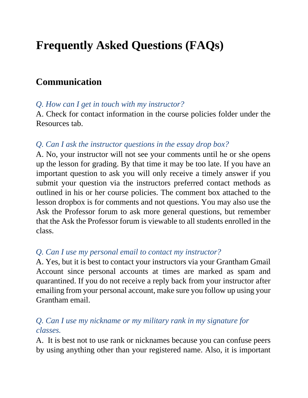# **Frequently Asked Questions (FAQs)**

# **Communication**

#### *Q. How can I get in touch with my instructor?*

A. Check for contact information in the course policies folder under the Resources tab.

#### *Q. Can I ask the instructor questions in the essay drop box?*

A. No, your instructor will not see your comments until he or she opens up the lesson for grading. By that time it may be too late. If you have an important question to ask you will only receive a timely answer if you submit your question via the instructors preferred contact methods as outlined in his or her course policies. The comment box attached to the lesson dropbox is for comments and not questions. You may also use the Ask the Professor forum to ask more general questions, but remember that the Ask the Professor forum is viewable to all students enrolled in the class.

#### *Q. Can I use my personal email to contact my instructor?*

A. Yes, but it is best to contact your instructors via your Grantham Gmail Account since personal accounts at times are marked as spam and quarantined. If you do not receive a reply back from your instructor after emailing from your personal account, make sure you follow up using your Grantham email.

#### *Q. Can I use my nickname or my military rank in my signature for classes.*

A. It is best not to use rank or nicknames because you can confuse peers by using anything other than your registered name. Also, it is important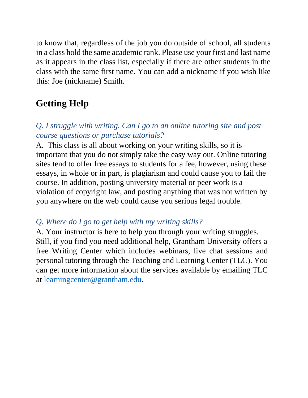to know that, regardless of the job you do outside of school, all students in a class hold the same academic rank. Please use your first and last name as it appears in the class list, especially if there are other students in the class with the same first name. You can add a nickname if you wish like this: Joe (nickname) Smith.

### **Getting Help**

#### *Q. I struggle with writing. Can I go to an online tutoring site and post course questions or purchase tutorials?*

A. This class is all about working on your writing skills, so it is important that you do not simply take the easy way out. Online tutoring sites tend to offer free essays to students for a fee, however, using these essays, in whole or in part, is plagiarism and could cause you to fail the course. In addition, posting university material or peer work is a violation of copyright law, and posting anything that was not written by you anywhere on the web could cause you serious legal trouble.

#### *Q. Where do I go to get help with my writing skills?*

A. Your instructor is here to help you through your writing struggles. Still, if you find you need additional help, Grantham University offers a free Writing Center which includes webinars, live chat sessions and personal tutoring through the Teaching and Learning Center (TLC). You can get more information about the services available by emailing TLC at [learningcenter@grantham.edu.](mailto:learningcenter@grantham.edu)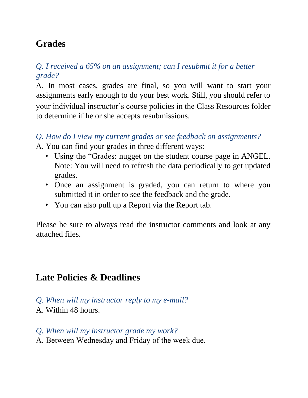## **Grades**

#### *Q. I received a 65% on an assignment; can I resubmit it for a better grade?*

A. In most cases, grades are final, so you will want to start your assignments early enough to do your best work. Still, you should refer to your individual instructor's course policies in the Class Resources folder to determine if he or she accepts resubmissions.

#### *Q. How do I view my current grades or see feedback on assignments?*

A. You can find your grades in three different ways:

- Using the "Grades: nugget on the student course page in ANGEL. Note: You will need to refresh the data periodically to get updated grades.
- Once an assignment is graded, you can return to where you submitted it in order to see the feedback and the grade.
- You can also pull up a Report via the Report tab.

Please be sure to always read the instructor comments and look at any attached files.

### **Late Policies & Deadlines**

- *Q. When will my instructor reply to my e-mail?*
- A. Within 48 hours.
- *Q. When will my instructor grade my work?*
- A. Between Wednesday and Friday of the week due.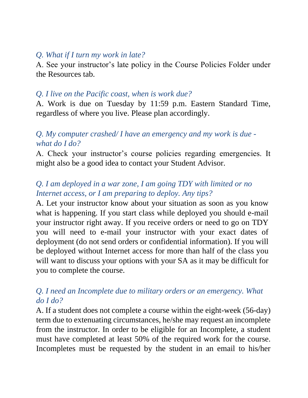#### *Q. What if I turn my work in late?*

A. See your instructor's late policy in the Course Policies Folder under the Resources tab.

#### *Q. I live on the Pacific coast, when is work due?*

A. Work is due on Tuesday by 11:59 p.m. Eastern Standard Time, regardless of where you live. Please plan accordingly.

#### *Q. My computer crashed/ I have an emergency and my work is due what do I do?*

A. Check your instructor's course policies regarding emergencies. It might also be a good idea to contact your Student Advisor.

#### *Q. I am deployed in a war zone, I am going TDY with limited or no Internet access, or I am preparing to deploy. Any tips?*

A. Let your instructor know about your situation as soon as you know what is happening. If you start class while deployed you should e-mail your instructor right away. If you receive orders or need to go on TDY you will need to e-mail your instructor with your exact dates of deployment (do not send orders or confidential information). If you will be deployed without Internet access for more than half of the class you will want to discuss your options with your SA as it may be difficult for you to complete the course.

#### *Q. I need an Incomplete due to military orders or an emergency. What do I do?*

A. If a student does not complete a course within the eight-week (56-day) term due to extenuating circumstances, he/she may request an incomplete from the instructor. In order to be eligible for an Incomplete, a student must have completed at least 50% of the required work for the course. Incompletes must be requested by the student in an email to his/her